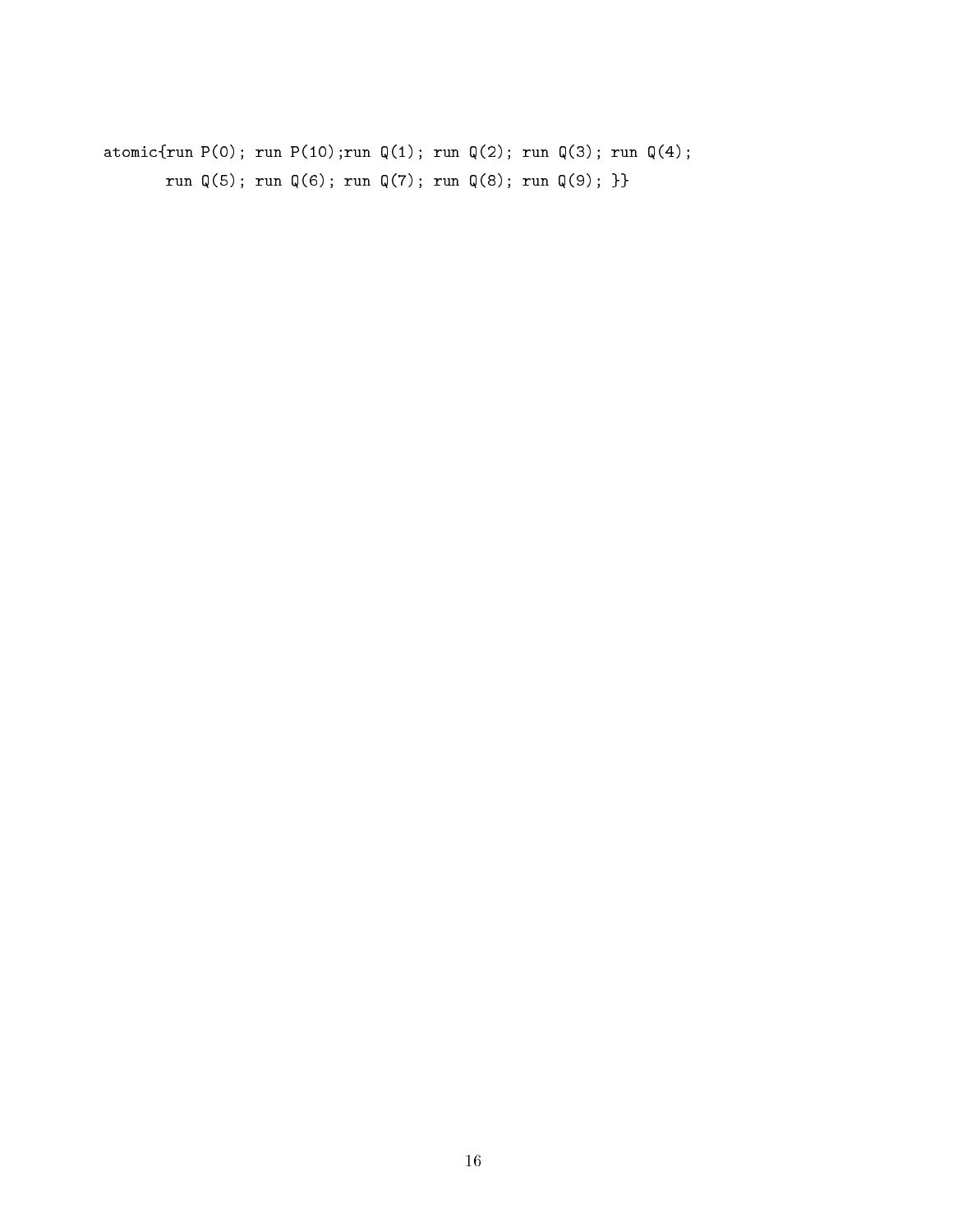atomic{run P(0); run P(10); run Q(1); run Q(2); run Q(3); run Q(4); run Q(5); run Q(6); run Q(7); run Q(8); run Q(9); }}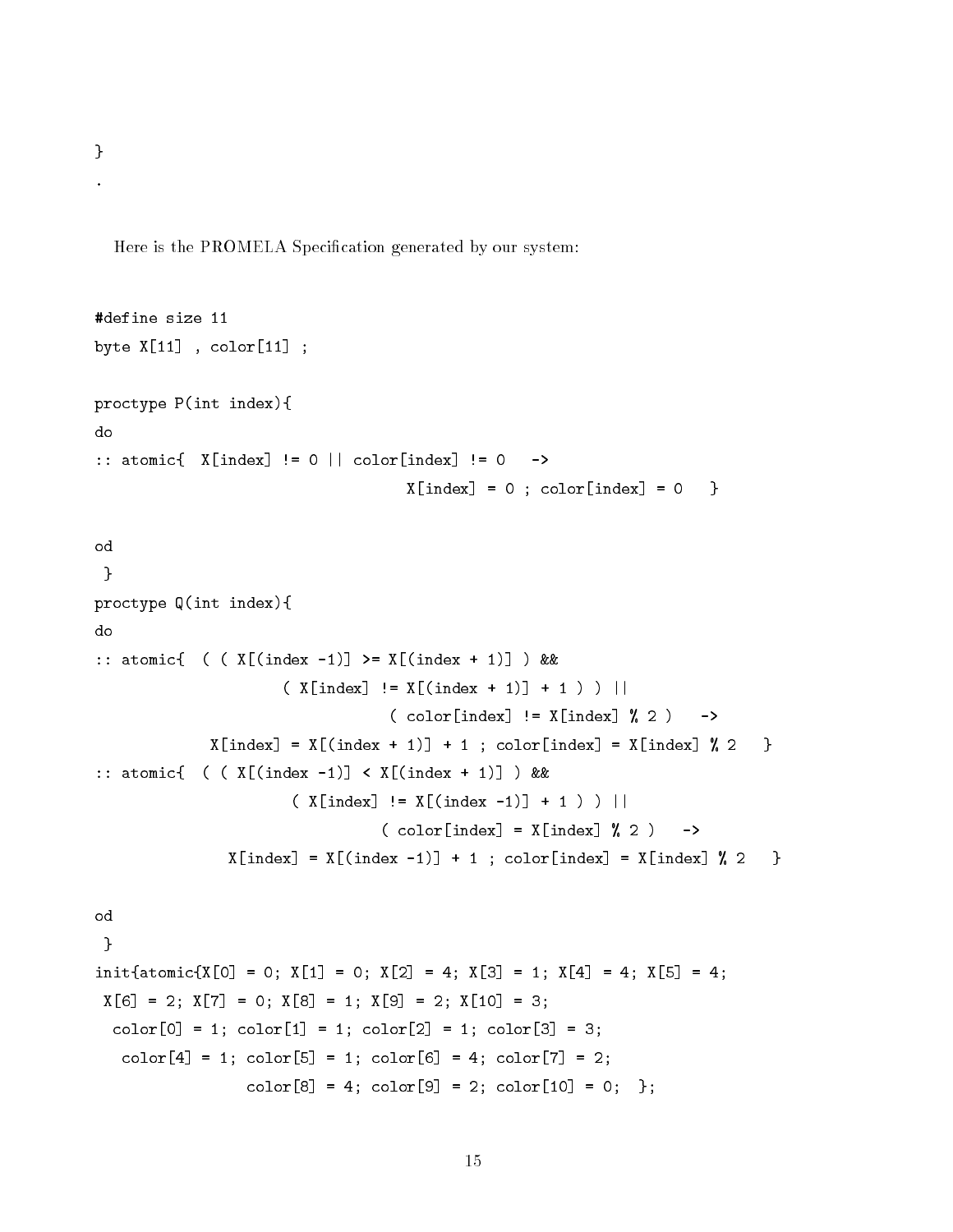}  $\ddot{\phantom{0}}$ 

Here is the PROMELA Specification generated by our system:

```
#define size 11
byte X[11] , color[11] ;
proctype P(int index){
:: atomic{ X[index] != 0 || color[index] != 0 ->
                                   X[index] = 0; color[index] = 0}
od
 }
proctype Q(int index){
do
:: atomic{ ( ( X[(index -1)] >= X[(index + 1)] ) &&
                     ( X[index] != X[(index + 1)] + 1 ) ) ||
                                 (\text{color}[index] := X[\text{index}] % 2) \rightarrowX[index] = X[(index + 1)] + 1; color[index] = X[index] % 2:: atomic{ ( ( X[(index -1)] < X[(index + 1)] ) &&
                      ( X[index] != X[(index -1)] + 1 ) ) ||
                                (\text{color}[index] = X[\text{index}] / Z ) ->
               X[index] = X[(index -1)] + 1; color[index] = X[index] % 2 }
od
 }
init{atomic{X[O] = 0; X[1] = 0; X[2] = 4; X[3] = 1; X[4] = 4; X[5] = 4;
 X[6] = 2; X[7] = 0; X[8] = 1; X[9] = 2; X[10] = 3;color[0] = 1; color[1] = 1; color[2] = 1; color[3] = 3;color[4] = 1; color[5] = 1; color[6] = 4; color[7] = 2;color[8] = 4; color[9] = 2; color[10] = 0;
```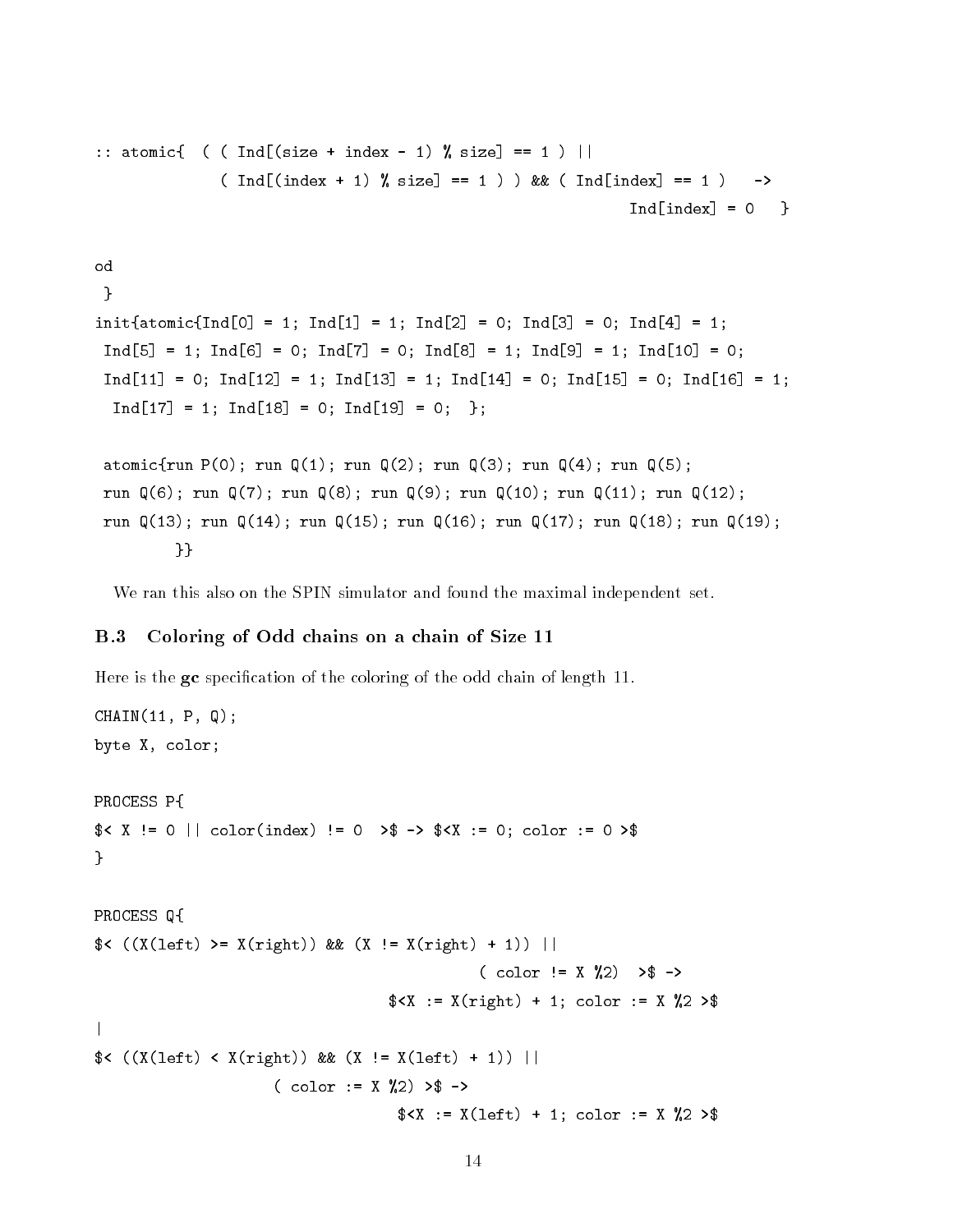```
:: atomic{ ( ( Ind[(size + index - 1) % size] == 1 ) ||
              ( Ind[(index + 1) % size] == 1 ) ) & ( Ind[index] == 1 ) ->
                                                             Ind \lceil \text{index} \rceil = 0 }
                                                              ————————————————————
od
 }
init{atomic{Ind[0]} = 1; Ind[1] = 1; Ind[2] = 0; Ind[3] = 0; Ind[4] = 1;Ind[5] = 1; Ind[6] = 0; Ind[7] = 0; Ind[8] = 1; Ind[9] = 1; Ind[10] = 0;Ind[11] = 0; Ind[12] = 1; Ind[13] = 1; Ind[14] = 0; Ind[15] = 0; Ind[16] = 1;Ind[17] = 1; Ind[18] = 0; Ind[19] = 0;atomic{run P(0); run Q(1); run Q(2); run Q(3); run Q(4); run Q(5);
run Q(6); run Q(7); run Q(8); run Q(9); run Q(10); run Q(11); run Q(12);
run Q(13); run Q(14); run Q(15); run Q(16); run Q(17); run Q(18); run Q(19);
         \mathcal{F}
```
We ran this also on the SPIN simulator and found the maximal independent set.

#### $\mathbf{B}.3$ Coloring of Odd chains on a chain of Size 11

}}

Here is the gc specification of the coloring of the odd chain of length 11.

```
CHAIN(11, P, Q);
byte X, color;
PROCESS P{
\sqrt{$6]{} X := 0 || \text{color(intdex)} := 0 \rightarrow $ -&gt; $ <x := 0; \text{color} := 0 &gt;}
PROCESS Q{
$< ((X(left) >= X(right)) && (X != X(right) + 1)) ||
                                                          (\text{color} != X \% 2) >>X := X(\text{right}) + 1; \text{ color} := X \, \text{?} 2 >|
\$( (X(\text{left}) \& X(\text{right})) \& X (X := X(\text{left}) + 1)) |( color := X \% 2) > \RightarrowX := X(\text{left}) + 1; \text{color} := X \text{ % } 2 > 0
```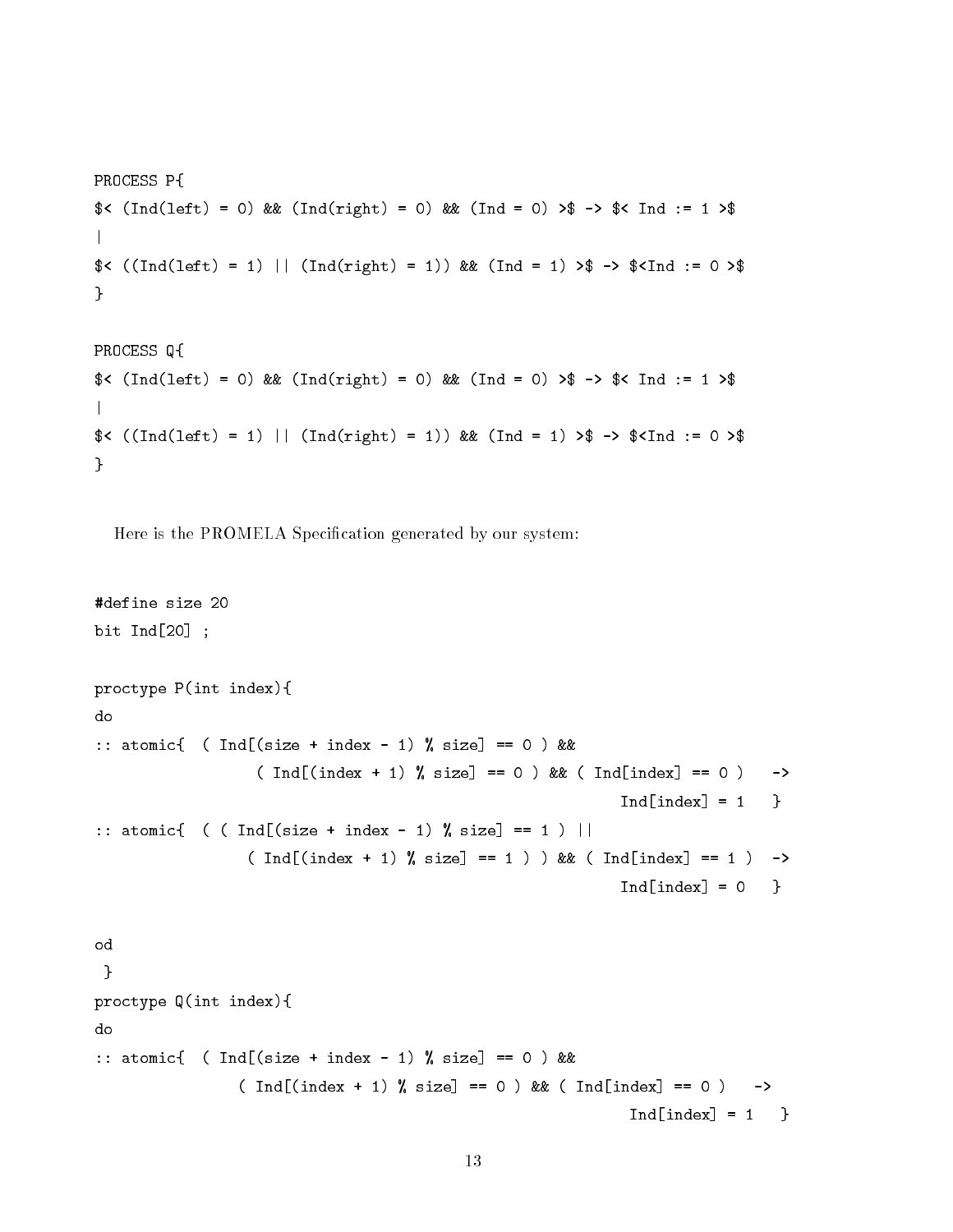```
PROCESS P{
\$(\{Ind(left) = 0) \&\([Ind(right) = 0) \&\([Indgrid]) = 0) \&\([Indgrid] = 0) \&\([Indgrid] = 0) \&\([Indgrid] = 1) \&\([Indgrid] = 0) \&\([Indgrid] = 0) \&\([Indgrid] = 1) \&\([Indgrid] = 0) \&\([Indgrid] = 1) \&\([Indgrid] = 0) \&\([Indgrid] = 1) \&\([Indgrid] = 0) \&\([Indgrid] = 1) \&\([Indgrid] = 0) \&\([Indgrid] = 0) \&\([Indgrid] = 1) \&\([Indgrid] = 0) \&\([Indgrid] = 0)|
\{\((Ind(left) = 1) || (Ind(right) = 1)) && (Ind = 1) >$ -> $<Ind := 0 >$
}
```

```
PROCESS Q{
\$(Ind(left) = 0) \& (Ind(right) = 0) \& (Ind(right) = 0) \& (Ind = 0) \& (Ind != 1) \& (Ind != 1) \& (Ind != 1) \& (Ind != 1) \& (Ind != 1) \& (Ind != 1) \& (Ind != 1) \& (Ind != 1) \& (Ind != 1) \& (Ind != 1) \& (Ind != 1) \& (Ind != 1) \& (Ind != 1) \& (Ind != 1) \& (Ind != 1) \& (Ind != 1) \& (Ind != 1) \& (\mathbf{I}|
\$(\ (Ind(left) = 1) || (Ind(right) = 1)) \&\ (Ind = 1) \> \ $ -> \{$ < Ind := 0 \> \}
```
Here is the PROMELA Specification generated by our system:

```
#define size 20
bit Ind[20] ;
proctype P(int index){
do
:: atomic{ ( Ind[(size + index - 1) % size] == 0 ) %( Ind[(index + 1) % size] == 0) % (Ind[ind] == 0) ->
                                                          Ind[index] = 1 }
:: atomic{ ( ( Ind[(size + index - 1) % size] == 1 ) ||
                 ( Ind[(index + 1) % size] == 1 ) ) % ( Ind[index] == 1 ) ->Ind[index] = 0 }
 \mathcal{L}}
proctype Q(int index){
:: atomic{ ( Ind[(size + index - 1) % size] == 0 ) %( Ind[(index + 1) % size] == 0) % % ( Ind[ind] == 0 ) \rightarrowInd[index] = 1 }
```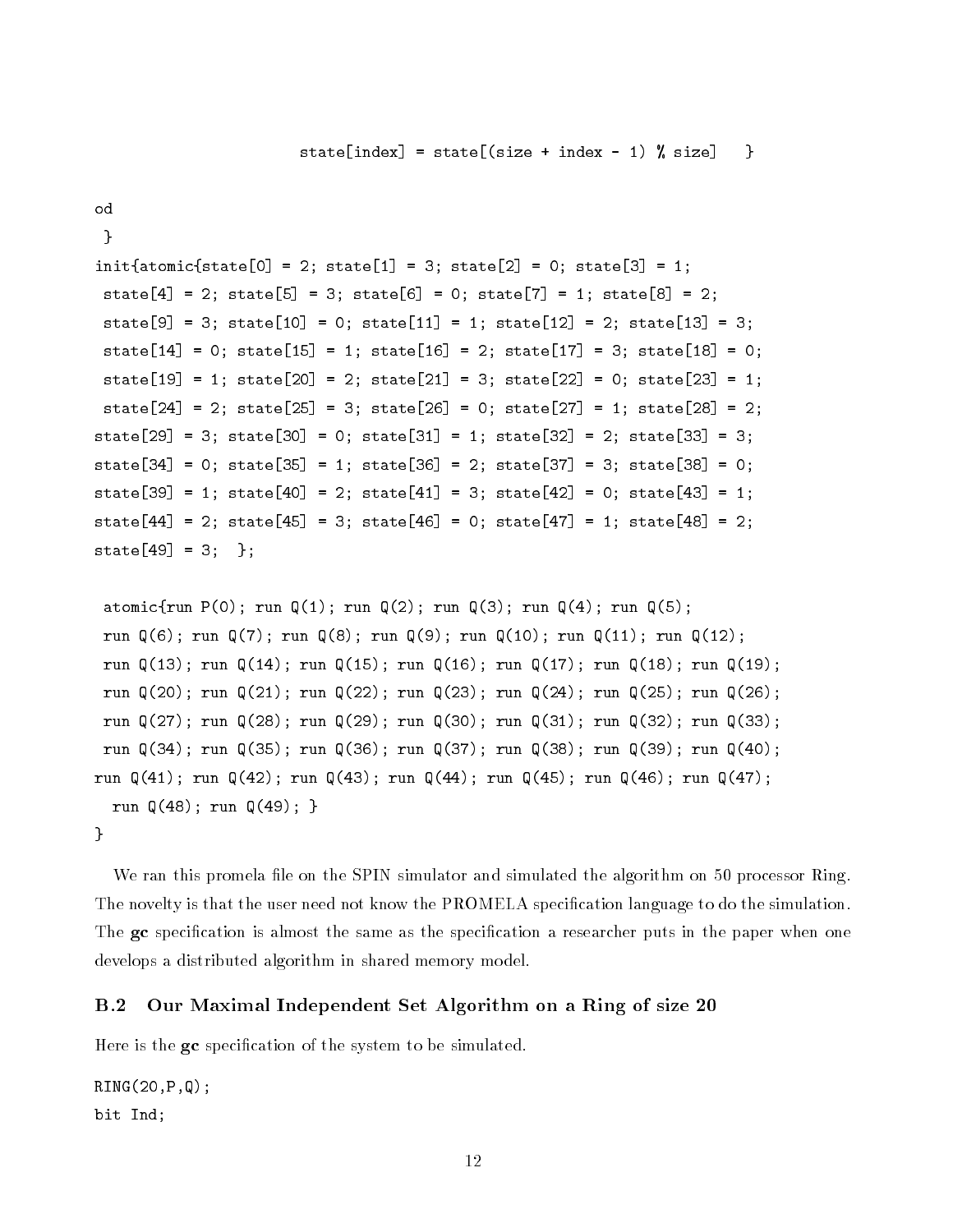```
state[index] = state[(size + index - 1) % size] \}
```

```
od
}
init{atomic{state[0]} = 2; state[1] = 3; state[2] = 0; state[3] = 1;state[4] = 2; state[5] = 3; state[6] = 0; state[7] = 1; state[8] = 2;
 state[9] = 3; state[10] = 0; state[11] = 1; state[12] = 2; state[13] = 3;
 state[14] = 0; state[15] = 1; state[16] = 2; state[17] = 3; state[18] = 0;
 state[19] = 1; state[20] = 2; state[21] = 3; state[22] = 0; state[23] = 1;
 state[24] = 2; state[25] = 3; state[26] = 0; state[27] = 1; state[28] = 2;
state[29] = 3; state[30] = 0; state[31] = 1; state[32] = 2; state[33] = 3;
state[34] = 0; state[35] = 1; state[36] = 2; state[37] = 3; state[38] = 0;
state[39] = 1; state[40] = 2; state[41] = 3; state[42] = 0; state[43] = 1;
state[44] = 2; state[45] = 3; state[46] = 0; state[47] = 1; state[48] = 2;
state[49] = 3; };
 atomic{run P(0); run Q(1); run Q(2); run Q(3); run Q(4); run Q(5);
run Q(6); run Q(7); run Q(8); run Q(9); run Q(10); run Q(11); run Q(12);
run Q(13); run Q(14); run Q(15); run Q(16); run Q(17); run Q(18); run Q(19);
run Q(20); run Q(21); run Q(22); run Q(23); run Q(24); run Q(25); run Q(26);
run Q(27); run Q(28); run Q(29); run Q(30); run Q(31); run Q(32); run Q(33);
run Q(34); run Q(35); run Q(36); run Q(37); run Q(38); run Q(39); run Q(40);
run Q(41); run Q(42); run Q(43); run Q(44); run Q(45); run Q(46); run Q(47);
 run Q(48); run Q(49); }
}
```
We ran this promela file on the SPIN simulator and simulated the algorithm on 50 processor Ring. The novelty is that the user need not know the PROMELA specication language to do the simulation. The gc specification is almost the same as the specification a researcher puts in the paper when one develops a distributed algorithm in shared memory model.

#### B.2 Our Maximal Independent Set Algorithm on a Ring of size 20

Here is the **gc** specification of the system to be simulated.

RING(20,P,Q); bit Ind;

}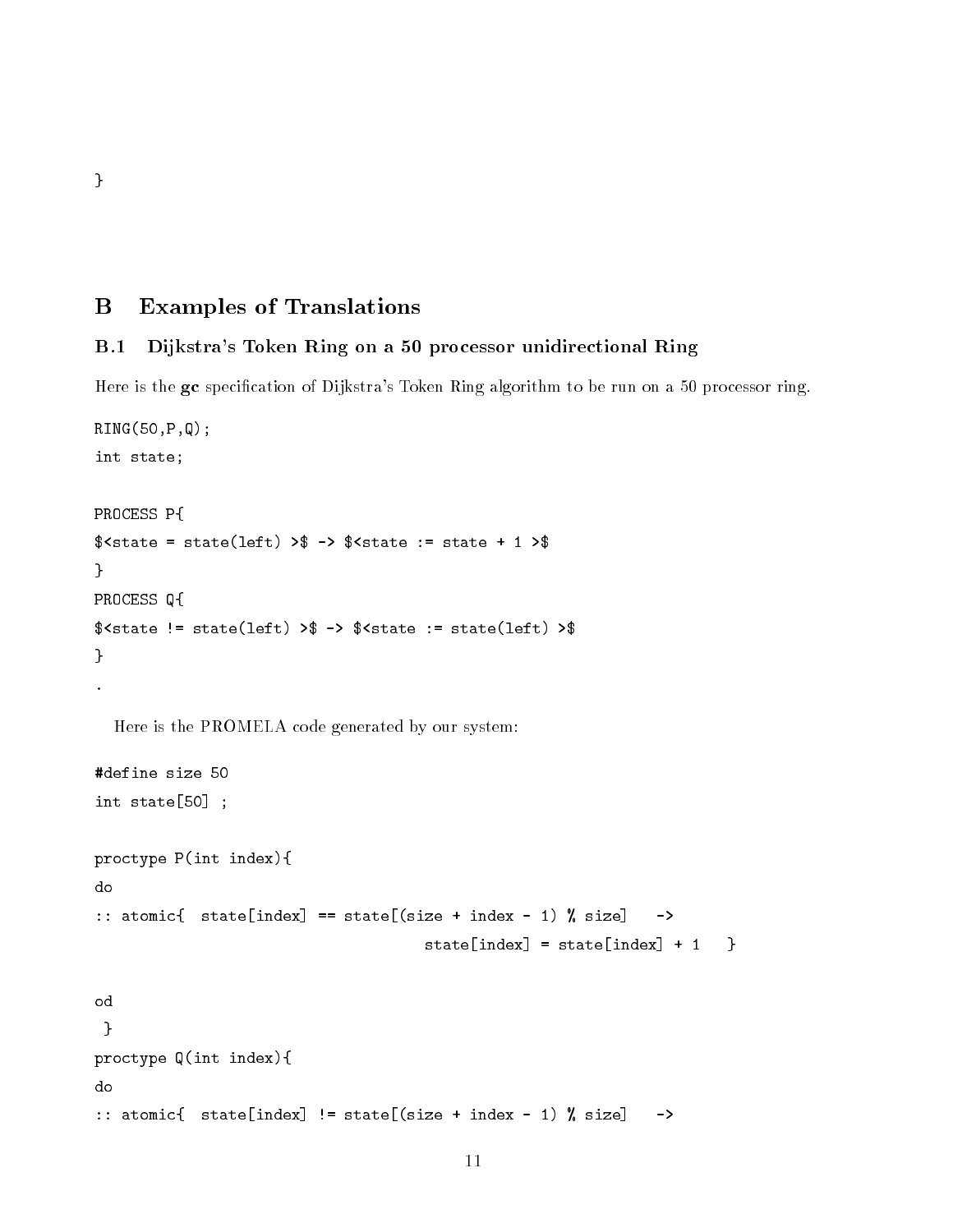# B Examples of Translations

#### B.1 Dijkstra's Token Ring on a 50 processor unidirectional Ring

Here is the gc specification of Dijkstra's Token Ring algorithm to be run on a 50 processor ring.

```
RING(50,P,Q);
int state;
PROCESS P{
$<state = state(left) >$ -> $<state := state + 1 >$
}
PROCESS Q{
$<state != state(left) >$ -> $<state := state(left) >$
}
  Here is the PROMELA code generated by our system:
#define size 50
int state[50] ;
proctype P(int index){
do
:: atomic{ state[index] == state[(size + index - 1) % size] \rightarrowstate[index] = state[index] + 1 }
od
 }
proctype Q(int index){
do
:: atomic{ state[index] != state[(size + index - 1) \% size]
                                                                  \rightarrow
```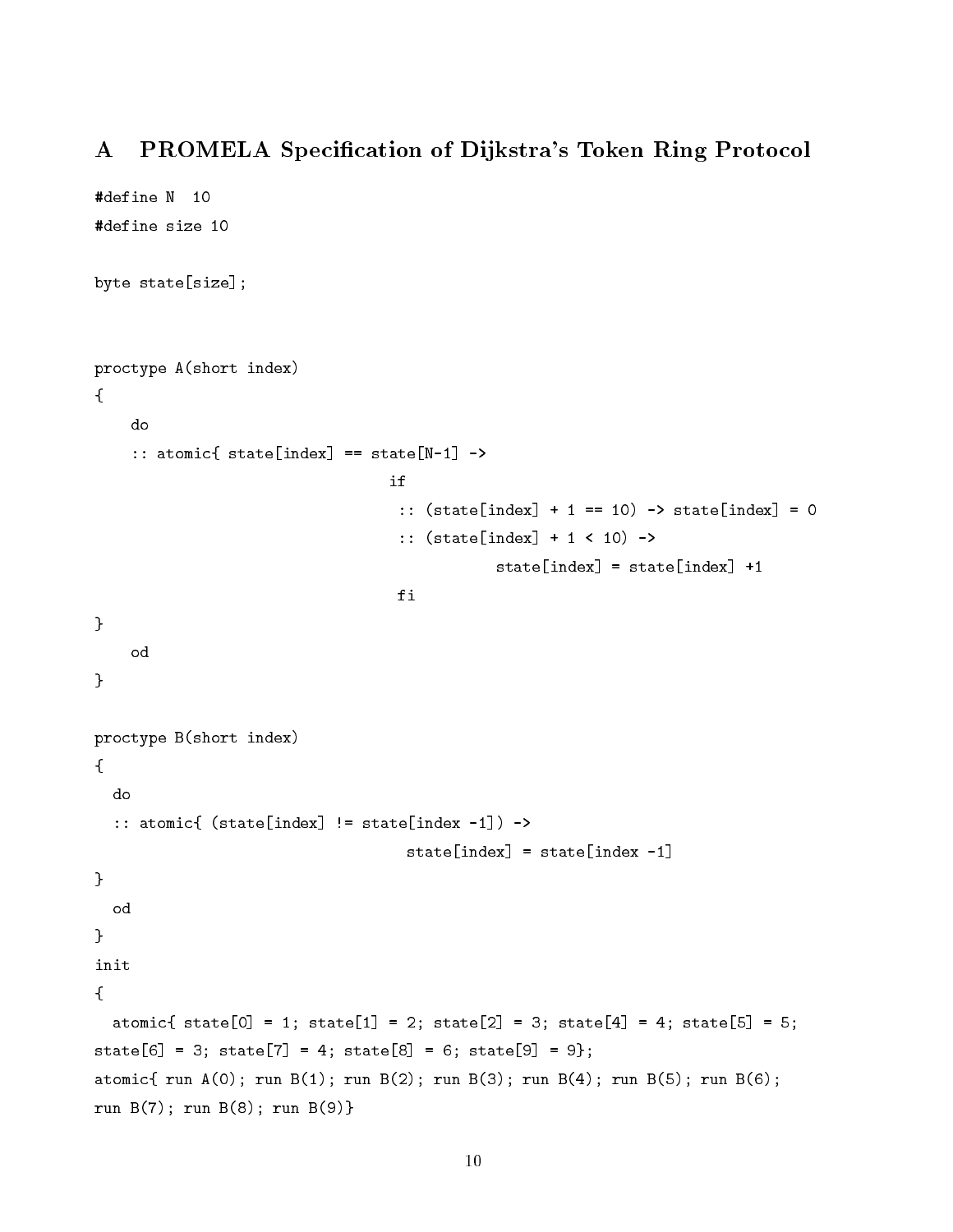# A PROMELA Specication of Dijkstra's Token Ring Protocol

#define N 10

```
byte state[size];
proctype A(short index)
{
    do
    :: atomic{ state[index] == state[N-1] ->
                                 if
                                  :: (state[index] + 1 == 10) -> state[index] = 0
                                  :: (state[index] + 1 < 10) ->
                                             state[index] = state[index] +1
}
    od
}
proctype B(short index)
{
  do
  :: atomic{ (state[index] != state[index -1]) ->
                                   state[index] = state[index -1]}
  od
ኑ
}
init
{
  atomic{ state[0] = 1; state[1] = 2; state[2] = 3; state[4] = 4; state[5] = 5;
state[6] = 3; state[7] = 4; state[8] = 6; state[9] = 9};
atomic{ run A(0); run B(1); run B(2); run B(3); run B(4); run B(5); run B(6);
run B(7); run B(8); run B(9)}
```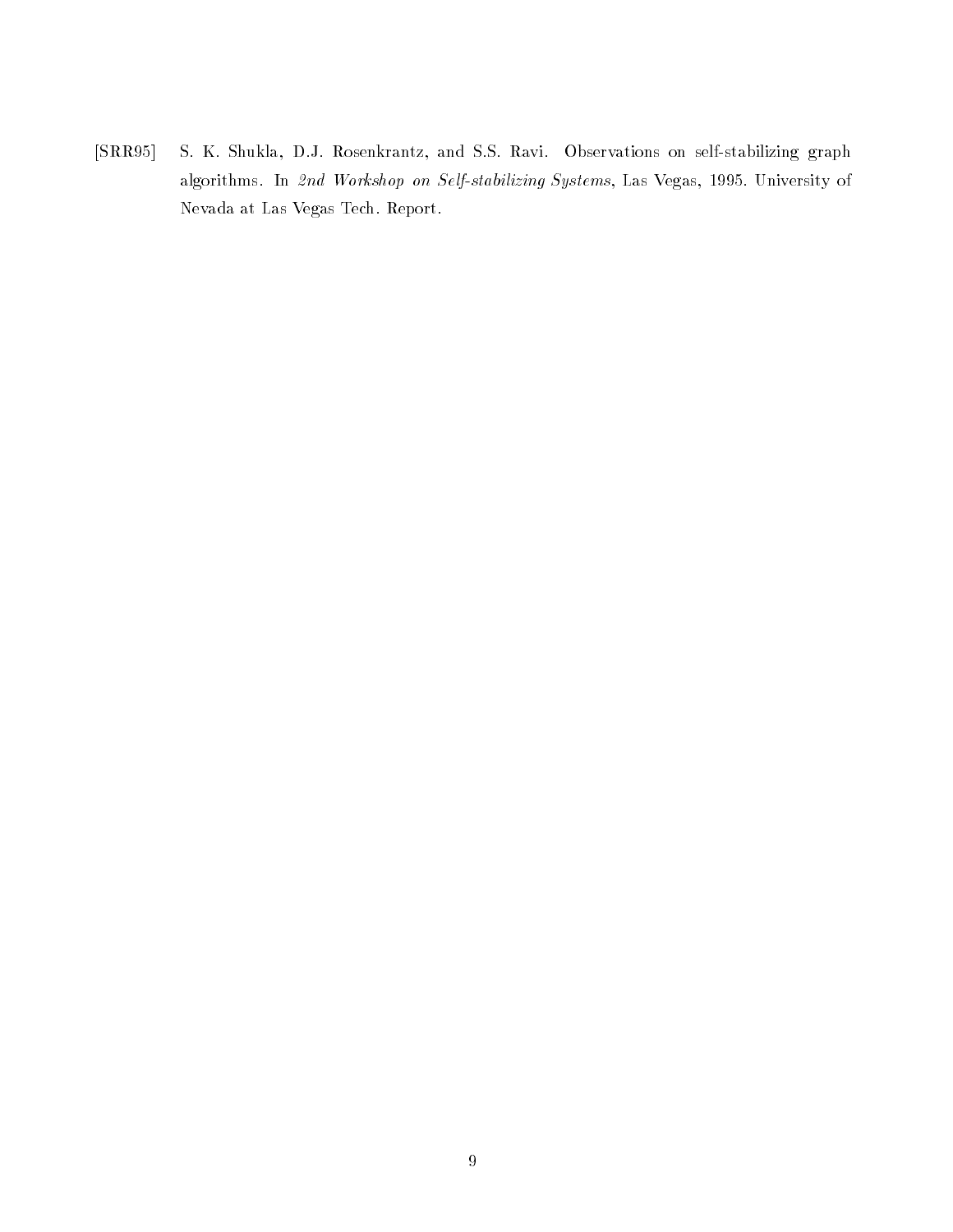[SRR95] S. K. Shukla, D.J. Rosenkrantz, and S.S. Ravi. Observations on self-stabilizing graph algorithms. In 2nd Workshop on Self-stabilizing Systems, Las Vegas, 1995. University of Nevada at Las Vegas Tech. Report.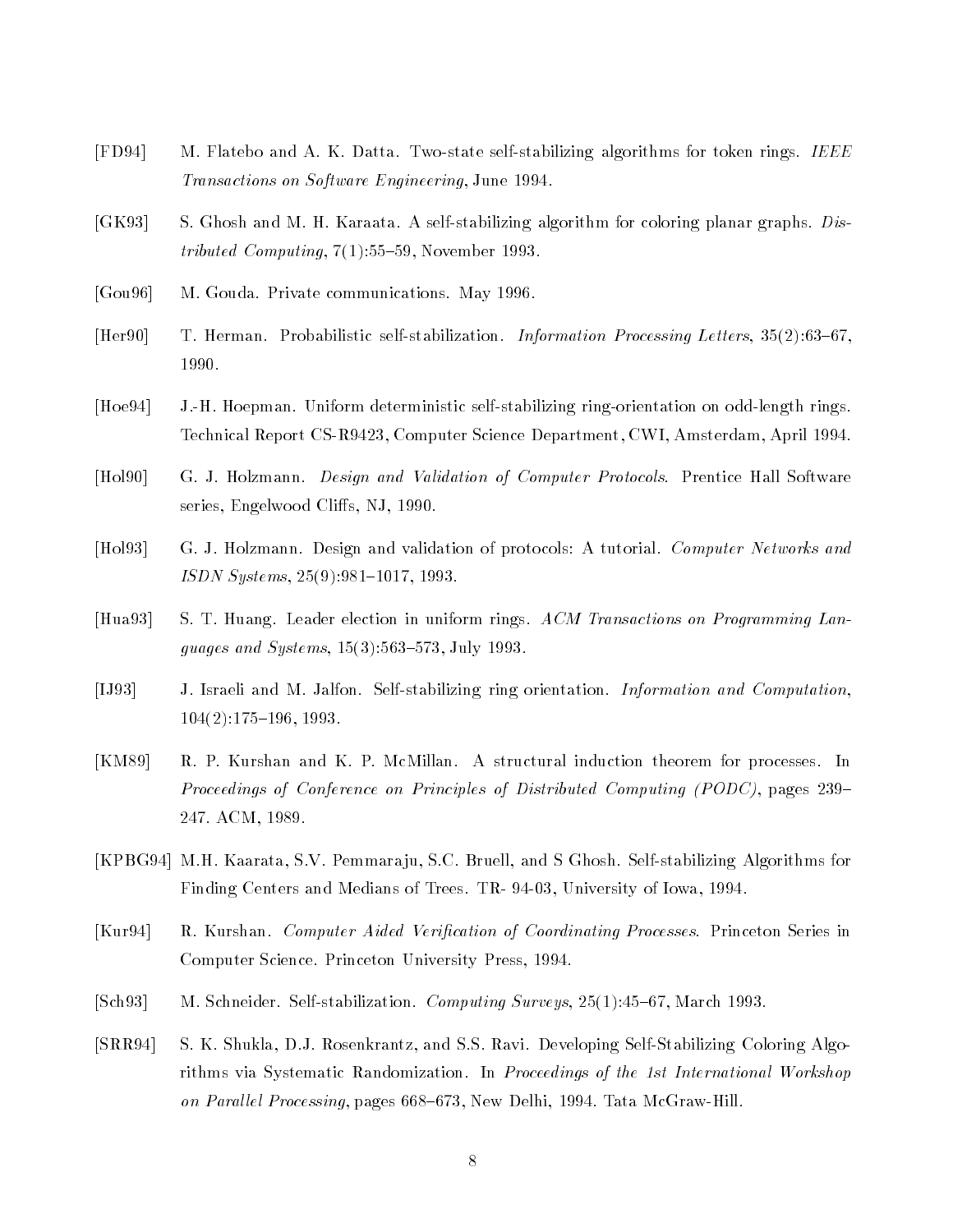- [FD94] M. Flatebo and A. K. Datta. Two-state self-stabilizing algorithms for token rings. IEEE Transactions on Software Engineering, June 1994.
- [GK93] S. Ghosh and M. H. Karaata. A self-stabilizing algorithm for coloring planar graphs. Distributed Computing,  $7(1):55{-}59$ , November 1993.
- [Gou96] M. Gouda. Private communications. May 1996.
- [Her90] T. Herman. Probabilistic self-stabilization. Information Processing Letters,  $35(2)$ :63–67. 1990.
- [Hoe94] J.-H. Hoepman. Uniform deterministic self-stabilizing ring-orientation on odd-length rings. Technical Report CS-R9423, Computer Science Department, CWI, Amsterdam, April 1994.
- [Hol90] G. J. Holzmann. *Design and Validation of Computer Protocols*. Prentice Hall Software series, Engelwood Cliffs, NJ, 1990.
- [Hol93] G. J. Holzmann. Design and validation of protocols: A tutorial. Computer Networks and ISDN Systems, 25(9):981-1017, 1993.
- [Hua93] S. T. Huang. Leader election in uniform rings. ACM Transactions on Programming Lanquages and Systems,  $15(3):563{-}573$ , July 1993.
- [IJ93] J. Israeli and M. Jalfon. Self-stabilizing ring orientation. Information and Computation,  $104(2):175{-}196, 1993.$
- [KM89] R. P. Kurshan and K. P. McMillan. A structural induction theorem for processes. In Proceedings of Conference on Principles of Distributed Computing (PODC), pages 239– 247. ACM, 1989.
- [KPBG94] M.H. Kaarata, S.V. Pemmara ju, S.C. Bruell, and S Ghosh. Self-stabilizing Algorithms for Finding Centers and Medians of Trees. TR- 94-03, University of Iowa, 1994.
- [Kur94] R. Kurshan. *Computer Aided Verification of Coordinating Processes*. Princeton Series in Computer Science. Princeton University Press, 1994.
- [Sch93] M. Schneider. Self-stabilization. Computing Surveys, 25(1):45-67, March 1993.
- [SRR94] S. K. Shukla, D.J. Rosenkrantz, and S.S. Ravi. Developing Self-Stabilizing Coloring Algorithms via Systematic Randomization. In Proceedings of the 1st International Workshop on Parallel Processing, pages 668-673, New Delhi, 1994. Tata McGraw-Hill.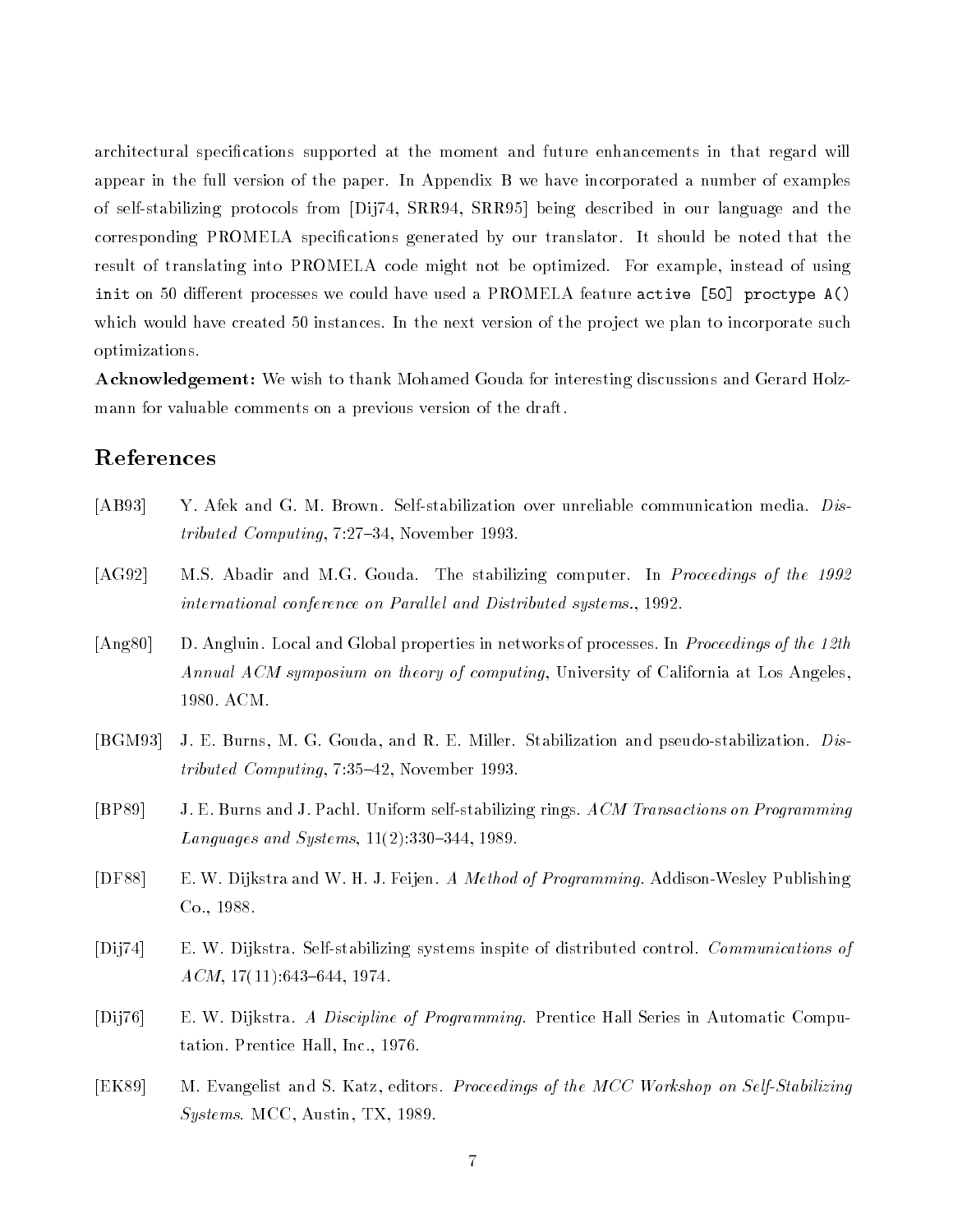architectural specifications supported at the moment and future enhancements in that regard will appear in the full version of the paper. In Appendix B we have incorporated a number of examples of self-stabilizing protocols from [Dij74, SRR94, SRR95] being described in our language and the corresponding PROMELA specications generated by our translator. It should be noted that the result of translating into PROMELA code might not be optimized. For example, instead of using init on 50 different processes we could have used a PROMELA feature active [50] proctype  $A()$ which would have created 50 instances. In the next version of the project we plan to incorporate such optimizations.

Acknowledgement: We wish to thank Mohamed Gouda for interesting discussions and Gerard Holzmann for valuable comments on a previous version of the draft.

## References

- [AB93] Y. Afek and G. M. Brown. Self-stabilization over unreliable communication media. Distributed Computing,  $7:27{-}34$ , November 1993.
- [AG92] M.S. Abadir and M.G. Gouda. The stabilizing computer. In Proceedings of the 1992 international conference on Parallel and Distributed systems., 1992.
- [Ang80] D. Angluin. Local and Global properties in networks of processes. In Proceedings of the 12th Annual ACM symposium on theory of computing, University of California at Los Angeles, 1980. ACM.
- [BGM93] J. E. Burns, M. G. Gouda, and R. E. Miller. Stabilization and pseudo-stabilization. Distributed Computing,  $7:35-42$ , November 1993.
- [BP89] J. E. Burns and J. Pachl. Uniform self-stabilizing rings. ACM Transactions on Programming Languages and Systems,  $11(2):330-344, 1989$ .
- [DF88] E. W. Dijkstra and W. H. J. Feijen. A Method of Programming. Addison-Wesley Publishing Co., 1988.
- [Dij74] E. W. Dijkstra. Self-stabilizing systems inspite of distributed control. Communications of  $ACM$ , 17(11):643–644, 1974.
- [Dij76] E. W. Dijkstra. A Discipline of Programming. Prentice Hall Series in Automatic Computation. Prentice Hall, Inc., 1976.
- [EK89] M. Evangelist and S. Katz, editors. Proceedings of the MCC Workshop on Self-Stabilizing Systems. MCC, Austin, TX, 1989.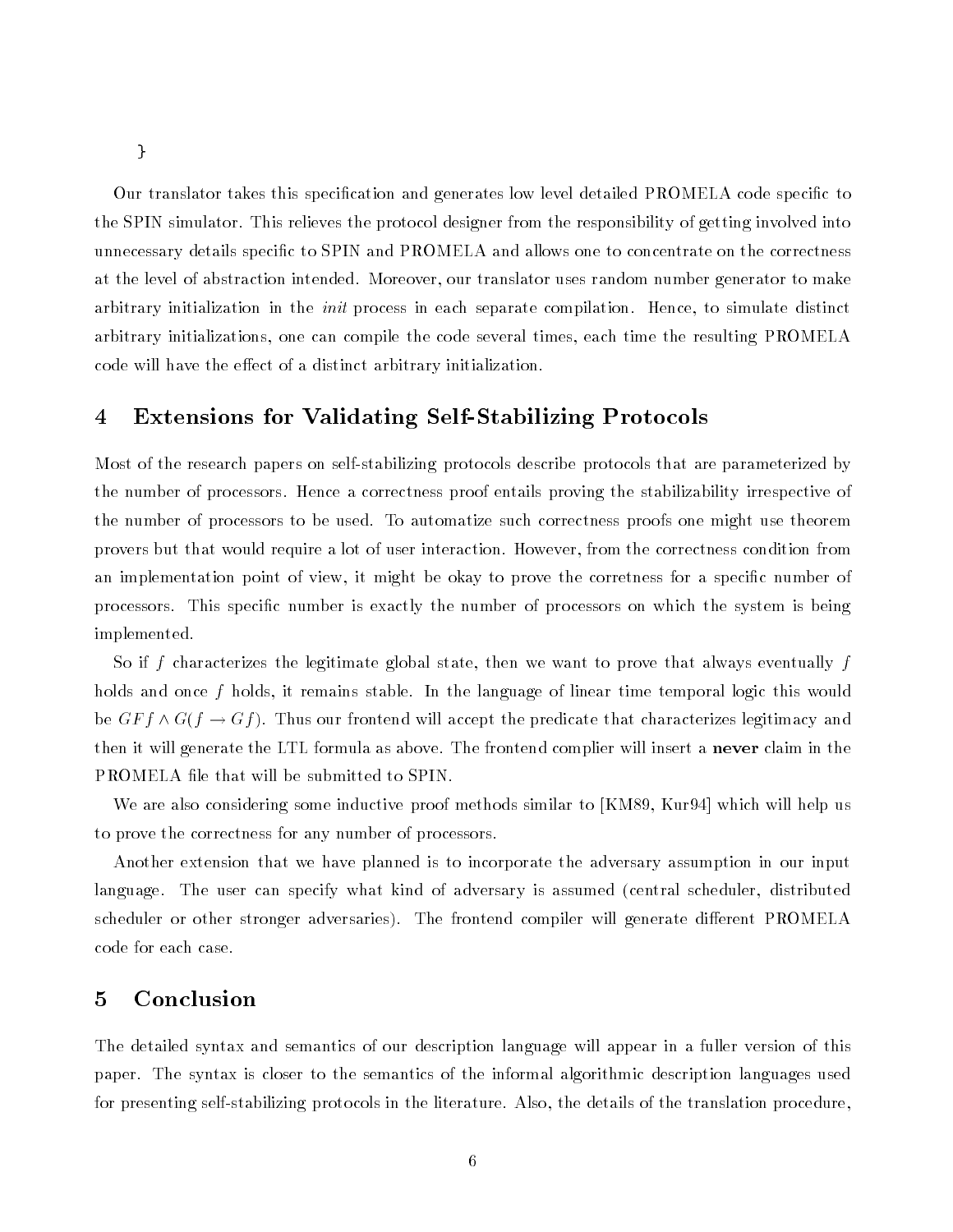}

Our translator takes this specification and generates low level detailed PROMELA code specific to the SPIN simulator. This relieves the protocol designer from the responsibility of getting involved into unnecessary details specic to SPIN and PROMELA and allows one to concentrate on the correctness at the level of abstraction intended. Moreover, our translator uses random number generator to make arbitrary initialization in the *init* process in each separate compilation. Hence, to simulate distinct arbitrary initializations, one can compile the code several times, each time the resulting PROMELA code will have the effect of a distinct arbitrary initialization.

#### 4 Extensions for Validating Self-Stabilizing Protocols

Most of the research papers on self-stabilizing protocols describe protocols that are parameterized by the number of processors. Hence a correctness proof entails proving the stabilizability irrespective of the number of processors to be used. To automatize such correctness proofs one might use theorem provers but that would require a lot of user interaction. However, from the correctness condition from an implementation point of view, it might be okay to prove the corretness for a specific number of processors. This specic number is exactly the number of processors on which the system is being implemented.

So if f characterizes the legitimate global state, then we want to prove that always eventually f holds and once f holds, it remains stable. In the language of linear time temporal logic this would be  $GFF \wedge G(f \rightarrow Gf)$ . Thus our frontend will accept the predicate that characterizes legitimacy and then it will generate the LTL formula as above. The frontend complier will insert a never claim in the PROMELA file that will be submitted to SPIN.

We are also considering some inductive proof methods similar to [KM89, Kur94] which will help us to prove the correctness for any number of processors.

Another extension that we have planned is to incorporate the adversary assumption in our input language. The user can specify what kind of adversary is assumed (central scheduler, distributed scheduler or other stronger adversaries). The frontend compiler will generate different PROMELA code for each case.

## 5 Conclusion

The detailed syntax and semantics of our description language will appear in a fuller version of this paper. The syntax is closer to the semantics of the informal algorithmic description languages used for presenting self-stabilizing protocols in the literature. Also, the details of the translation procedure,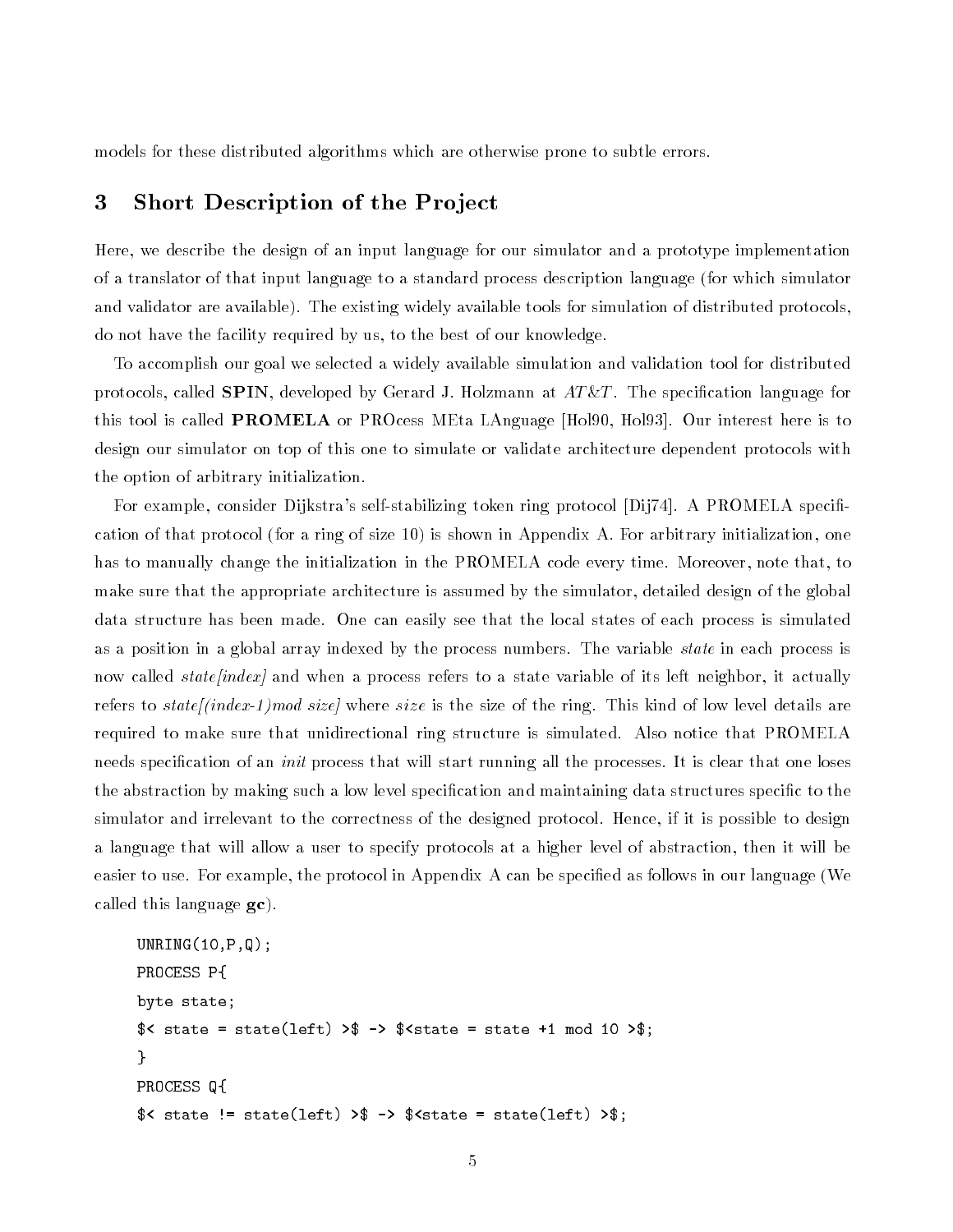models for these distributed algorithms which are otherwise prone to subtle errors.

### 3 Short Description of the Pro ject

Here, we describe the design of an input language for our simulator and a prototype implementation of a translator of that input language to a standard process description language (for which simulator and validator are available). The existing widely available tools for simulation of distributed protocols, do not have the facility required by us, to the best of our knowledge.

To accomplish our goal we selected a widely available simulation and validation tool for distributed protocols, called SPIN, developed by Gerard J. Holzmann at  $AT\&T$ . The specification language for this tool is called PROMELA or PROcess MEta LAnguage [Hol90, Hol93]. Our interest here is to design our simulator on top of this one to simulate or validate architecture dependent protocols with the option of arbitrary initialization.

For example, consider Dijkstra's self-stabilizing token ring protocol [Dij74]. A PROMELA specification of that protocol (for a ring of size 10) is shown in Appendix A. For arbitrary initialization, one has to manually change the initialization in the PROMELA code every time. Moreover, note that, to make sure that the appropriate architecture is assumed by the simulator, detailed design of the global data structure has been made. One can easily see that the local states of each process is simulated as a position in a global array indexed by the process numbers. The variable state in each process is now called *state[index]* and when a process refers to a state variable of its left neighbor, it actually refers to state  $(\text{index-1})$  mod size where size is the size of the ring. This kind of low level details are required to make sure that unidirectional ring structure is simulated. Also notice that PROMELA needs specification of an *init* process that will start running all the processes. It is clear that one loses the abstraction by making such a low level specification and maintaining data structures specific to the simulator and irrelevant to the correctness of the designed protocol. Hence, if it is possible to design a language that will allow a user to specify protocols at a higher level of abstraction, then it will be easier to use. For example, the protocol in Appendix A can be specied as follows in our language (We called this language gc).

```
UNRING(10,P,Q);
PROCESS P{
byte state;
\sqrt{$\zeta$ state = state(left)} \rightarrow \sqrt{$\zeta$ state = state +1 mod 10 \rightarrow};}
PROCESS Q{
\{5} state != state(left) > \ -> \$ state = state(left) > \;
```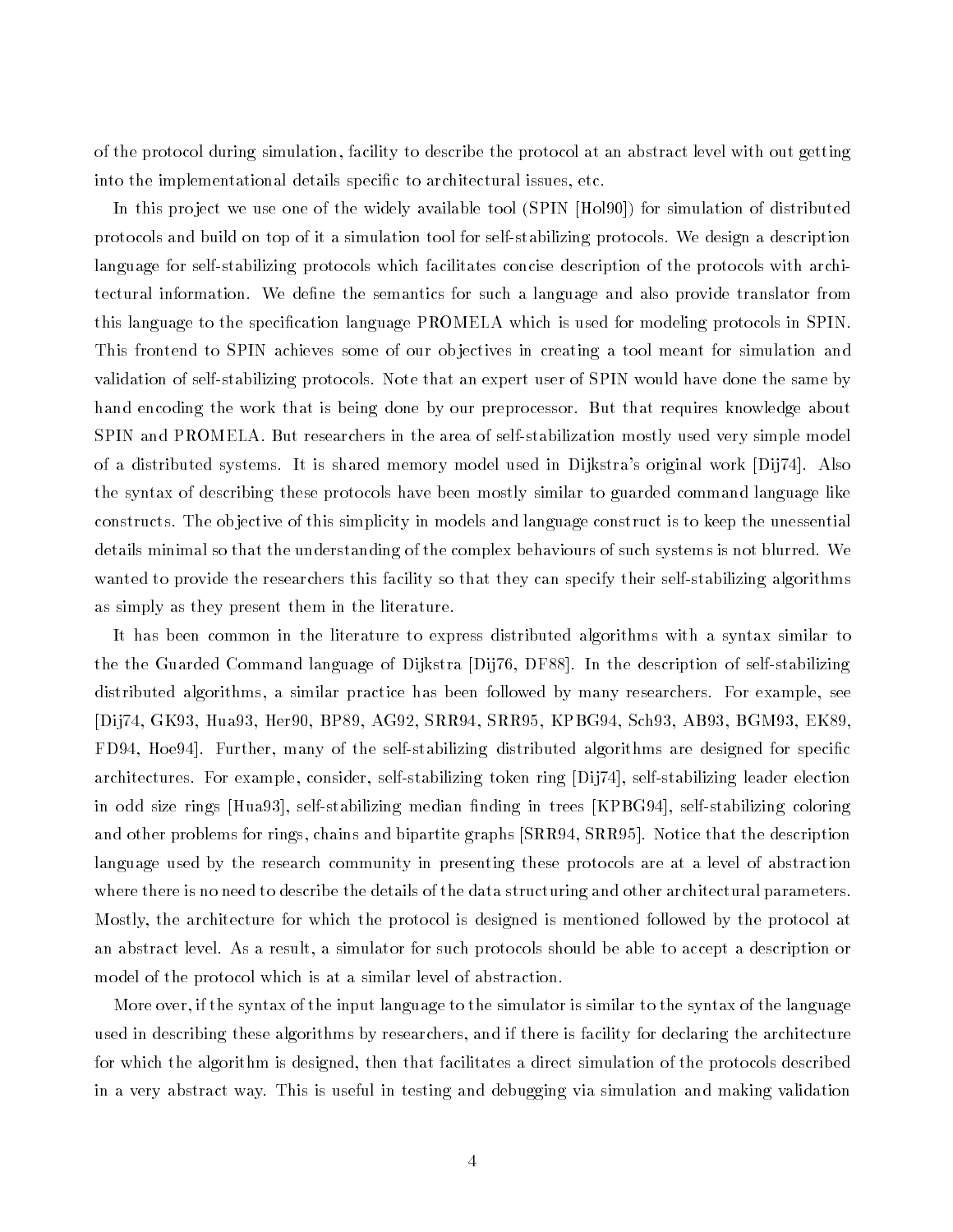of the protocol during simulation, facility to describe the protocol at an abstract level with out getting into the implementational details specific to architectural issues, etc.

In this project we use one of the widely available tool (SPIN [Hol90]) for simulation of distributed protocols and build on top of it a simulation tool for self-stabilizing protocols. We design a description language for self-stabilizing protocols which facilitates concise description of the protocols with architectural information. We define the semantics for such a language and also provide translator from this language to the specification language PROMELA which is used for modeling protocols in SPIN. This frontend to SPIN achieves some of our objectives in creating a tool meant for simulation and validation of self-stabilizing protocols. Note that an expert user of SPIN would have done the same by hand encoding the work that is being done by our preprocessor. But that requires knowledge about SPIN and PROMELA. But researchers in the area of self-stabilization mostly used very simple model of a distributed systems. It is shared memory model used in Dijkstra's original work [Dij74]. Also the syntax of describing these protocols have been mostly similar to guarded command language like constructs. The objective of this simplicity in models and language construct is to keep the unessential details minimal so that the understanding of the complex behaviours of such systems is not blurred. We wanted to provide the researchers this facility so that they can specify their self-stabilizing algorithms as simply as they present them in the literature.

It has been common in the literature to express distributed algorithms with a syntax similar to the the Guarded Command language of Dijkstra [Dij76, DF88]. In the description of self-stabilizing distributed algorithms, a similar practice has been followed by many researchers. For example, see [Dij74, GK93, Hua93, Her90, BP89, AG92, SRR94, SRR95, KPBG94, Sch93, AB93, BGM93, EK89, FD94, Hoe94. Further, many of the self-stabilizing distributed algorithms are designed for specific architectures. For example, consider, self-stabilizing token ring [Dij74], self-stabilizing leader election in odd size rings [Hua93], self-stabilizing median finding in trees [KPBG94], self-stabilizing coloring and other problems for rings, chains and bipartite graphs [SRR94, SRR95]. Notice that the description language used by the research community in presenting these protocols are at a level of abstraction where there is no need to describe the details of the data structuring and other architectural parameters. Mostly, the architecture for which the protocol is designed is mentioned followed by the protocol at an abstract level. As a result, a simulator for such protocols should be able to accept a description or model of the protocol which is at a similar level of abstraction.

More over, if the syntax of the input language to the simulator is similar to the syntax of the language used in describing these algorithms by researchers, and if there is facility for declaring the architecture for which the algorithm is designed, then that facilitates a direct simulation of the protocols described in a very abstract way. This is useful in testing and debugging via simulation and making validation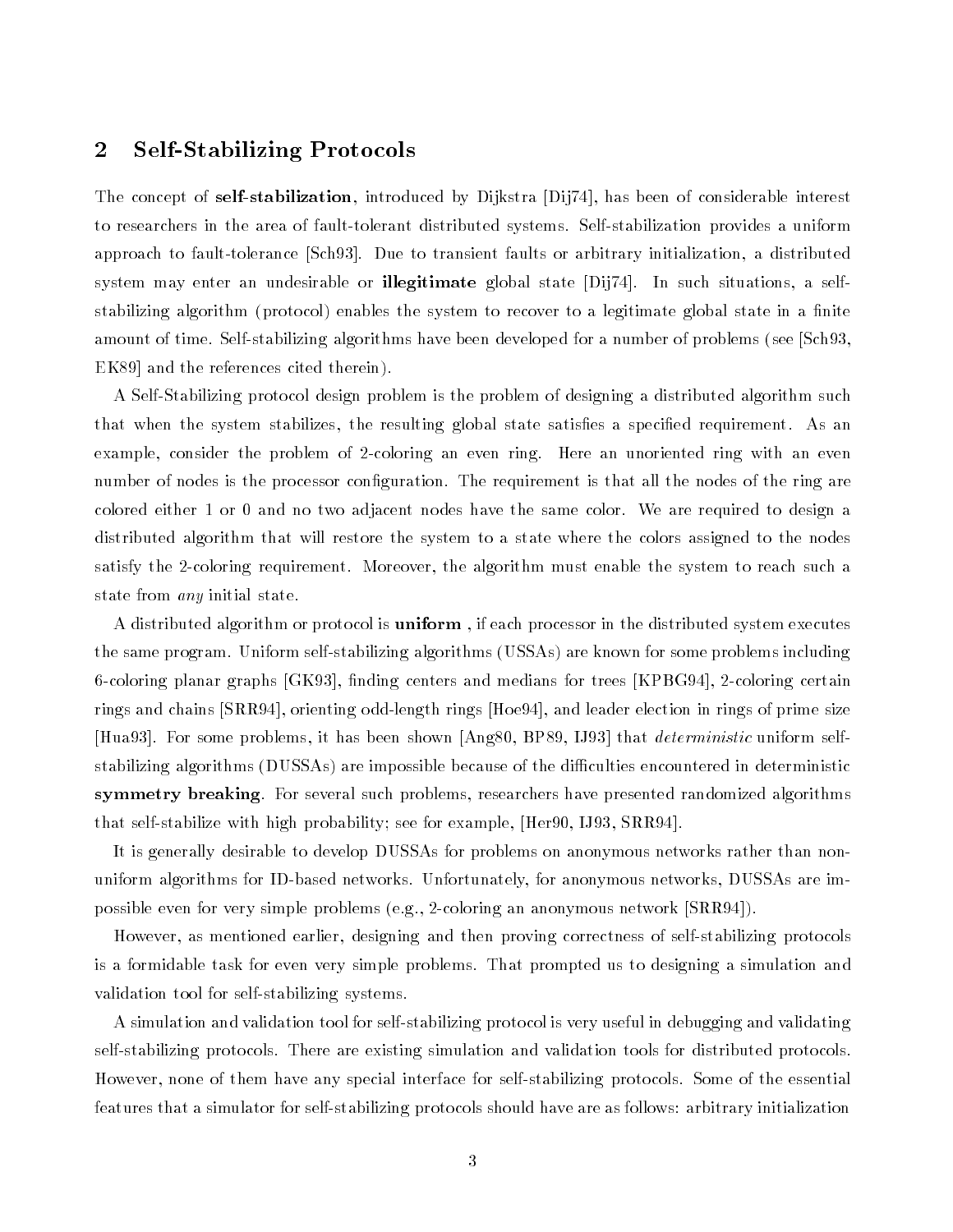## 2 Self-Stabilizing Protocols

The concept of self-stabilization, introduced by Dijkstra [Dij74], has been of considerable interest to researchers in the area of fault-tolerant distributed systems. Self-stabilization provides a uniform approach to fault-tolerance [Sch93]. Due to transient faults or arbitrary initialization, a distributed system may enter an undesirable or illegitimate global state [Dij74]. In such situations, a selfstabilizing algorithm (protocol) enables the system to recover to a legitimate global state in a finite amount of time. Self-stabilizing algorithms have been developed for a number of problems (see [Sch93, EK89] and the references cited therein).

A Self-Stabilizing protocol design problem is the problem of designing a distributed algorithm such that when the system stabilizes, the resulting global state satisfies a specified requirement. As an example, consider the problem of 2-coloring an even ring. Here an unoriented ring with an even number of nodes is the processor configuration. The requirement is that all the nodes of the ring are colored either 1 or 0 and no two adjacent nodes have the same color. We are required to design a distributed algorithm that will restore the system to a state where the colors assigned to the nodes satisfy the 2-coloring requirement. Moreover, the algorithm must enable the system to reach such a state from any initial state.

A distributed algorithm or protocol is **uniform**, if each processor in the distributed system executes the same program. Uniform self-stabilizing algorithms (USSAs) are known for some problems including 6-coloring planar graphs [GK93], finding centers and medians for trees [KPBG94], 2-coloring certain rings and chains [SRR94], orienting odd-length rings [Hoe94], and leader election in rings of prime size [Hua93]. For some problems, it has been shown [Ang80, BP89, IJ93] that deterministic uniform selfstabilizing algorithms (DUSSAs) are impossible because of the difficulties encountered in deterministic symmetry breaking. For several such problems, researchers have presented randomized algorithms that self-stabilize with high probability; see for example, [Her90, IJ93, SRR94].

It is generally desirable to develop DUSSAs for problems on anonymous networks rather than nonuniform algorithms for ID-based networks. Unfortunately, for anonymous networks, DUSSAs are impossible even for very simple problems (e.g., 2-coloring an anonymous network [SRR94]).

However, as mentioned earlier, designing and then proving correctness of self-stabilizing protocols is a formidable task for even very simple problems. That prompted us to designing a simulation and validation tool for self-stabilizing systems.

A simulation and validation tool for self-stabilizing protocol is very useful in debugging and validating self-stabilizing protocols. There are existing simulation and validation tools for distributed protocols. However, none of them have any special interface for self-stabilizing protocols. Some of the essential features that a simulator for self-stabilizing protocols should have are as follows: arbitrary initialization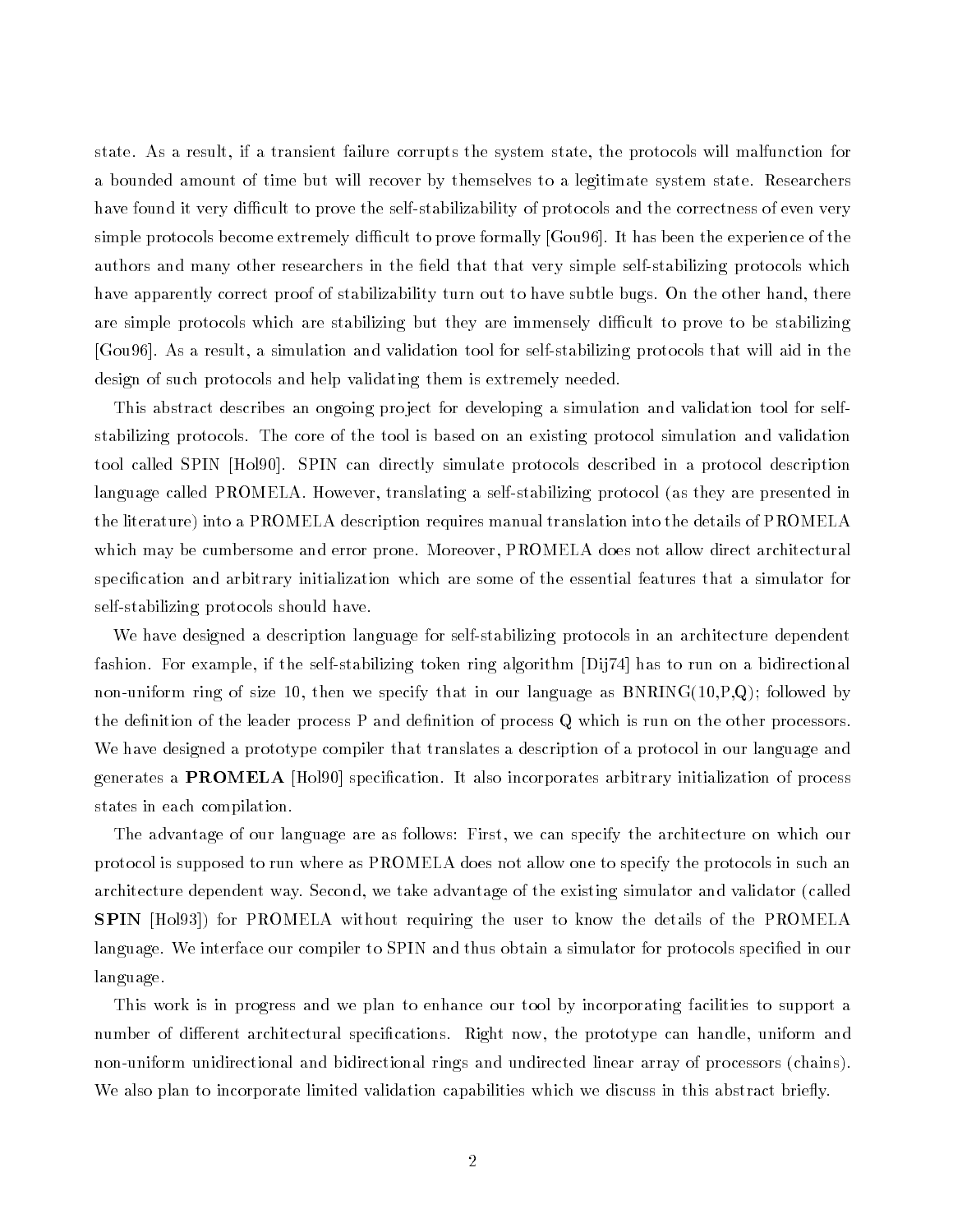state. As a result, if a transient failure corrupts the system state, the protocols will malfunction for a bounded amount of time but will recover by themselves to a legitimate system state. Researchers have found it very difficult to prove the self-stabilizability of protocols and the correctness of even very simple protocols become extremely difficult to prove formally [Gou96]. It has been the experience of the authors and many other researchers in the field that that very simple self-stabilizing protocols which have apparently correct proof of stabilizability turn out to have subtle bugs. On the other hand, there are simple protocols which are stabilizing but they are immensely difficult to prove to be stabilizing [Gou96]. As a result, a simulation and validation tool for self-stabilizing protocols that will aid in the design of such protocols and help validating them is extremely needed.

This abstract describes an ongoing pro ject for developing a simulation and validation tool for selfstabilizing protocols. The core of the tool is based on an existing protocol simulation and validation tool called SPIN [Hol90]. SPIN can directly simulate protocols described in a protocol description language called PROMELA. However, translating a self-stabilizing protocol (as they are presented in the literature) into a PROMELA description requires manual translation into the details of PROMELA which may be cumbersome and error prone. Moreover, PROMELA does not allow direct architectural specification and arbitrary initialization which are some of the essential features that a simulator for self-stabilizing protocols should have.

We have designed a description language for self-stabilizing protocols in an architecture dependent fashion. For example, if the self-stabilizing token ring algorithm [Dij74] has to run on a bidirectional non-uniform ring of size 10, then we specify that in our language as  $BNRING(10,P,Q)$ ; followed by the definition of the leader process P and definition of process Q which is run on the other processors. We have designed a prototype compiler that translates a description of a protocol in our language and generates a PROMELA [Hol90] specication. It also incorporates arbitrary initialization of process states in each compilation.

The advantage of our language are as follows: First, we can specify the architecture on which our protocol is supposed to run where as PROMELA does not allow one to specify the protocols in such an architecture dependent way. Second, we take advantage of the existing simulator and validator (called SPIN [Hol93]) for PROMELA without requiring the user to know the details of the PROMELA language. We interface our compiler to SPIN and thus obtain a simulator for protocols specied in our language.

This work is in progress and we plan to enhance our tool by incorporating facilities to support a number of different architectural specifications. Right now, the prototype can handle, uniform and non-uniform unidirectional and bidirectional rings and undirected linear array of processors (chains). We also plan to incorporate limited validation capabilities which we discuss in this abstract briefly.